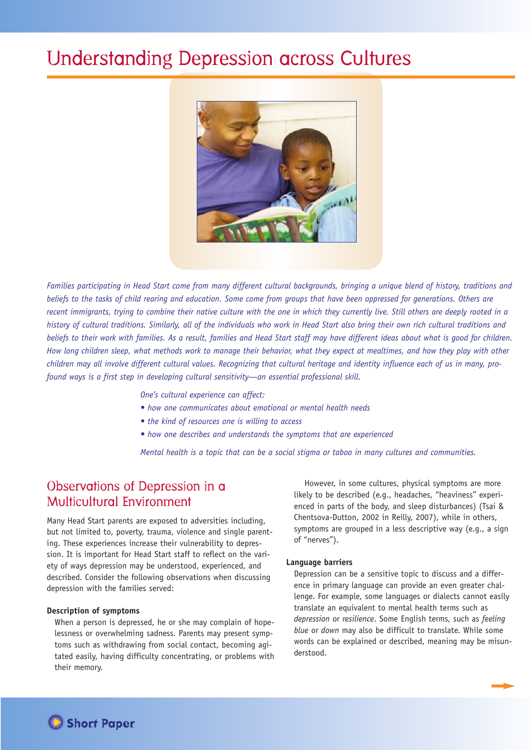# Understanding Depression across Cultures



Families participating in Head Start come from many different cultural backgrounds, bringing a unique blend of history, traditions and beliefs to the tasks of child rearing and education. Some come from groups that have been oppressed for generations. Others are recent immigrants, trying to combine their native culture with the one in which they currently live. Still others are deeply rooted in a history of cultural traditions. Similarly, all of the individuals who work in Head Start also bring their own rich cultural traditions and beliefs to their work with families. As a result, families and Head Start staff may have different ideas about what is good for children. How long children sleep, what methods work to manage their behavior, what they expect at mealtimes, and how they play with other children may all involve different cultural values. Recognizing that cultural heritage and identity influence each of us in many, pro*found ways is a first step in developing cultural sensitivity—an essential professional skill.*

*One's cultural experience can affect:*

- *• how one communicates about emotional or mental health needs*
- *• the kind of resources one is willing to access*
- *• how one describes and understands the symptoms that are experienced*

*Mental health is a topic that can be a social stigma or taboo in many cultures and communities.*

## Observations of Depression in a Multicultural Environment

Many Head Start parents are exposed to adversities including, but not limited to, poverty, trauma, violence and single parenting. These experiences increase their vulnerability to depression. It is important for Head Start staff to reflect on the variety of ways depression may be understood, experienced, and described. Consider the following observations when discussing depression with the families served:

#### **Description of symptoms**

When a person is depressed, he or she may complain of hopelessness or overwhelming sadness. Parents may present symptoms such as withdrawing from social contact, becoming agitated easily, having difficulty concentrating, or problems with their memory.

However, in some cultures, physical symptoms are more likely to be described (e.g., headaches, "heaviness" experienced in parts of the body, and sleep disturbances) (Tsai & Chentsova-Dutton, 2002 in Reilly, 2007), while in others, symptoms are grouped in a less descriptive way (e.g., a sign of "nerves").

#### **Language barriers**

Depression can be a sensitive topic to discuss and a difference in primary language can provide an even greater challenge. For example, some languages or dialects cannot easily translate an equivalent to mental health terms such as *depression* or *resilience*. Some English terms, such as *feeling blue* or *down* may also be difficult to translate. While some words can be explained or described, meaning may be misunderstood.

▼**Short Paper**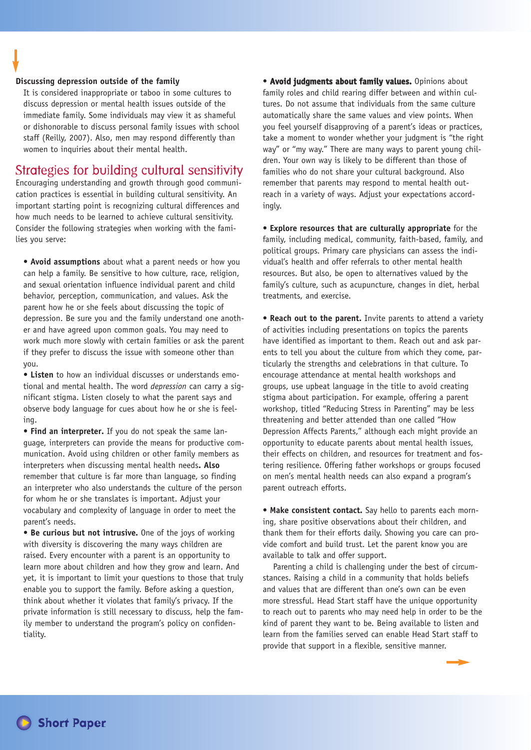#### **Discussing depression outside of the family**

It is considered inappropriate or taboo in some cultures to discuss depression or mental health issues outside of the immediate family. Some individuals may view it as shameful or dishonorable to discuss personal family issues with school staff (Reilly, 2007). Also, men may respond differently than women to inquiries about their mental health.

### Strategies for building cultural sensitivity

Encouraging understanding and growth through good communication practices is essential in building cultural sensitivity. An important starting point is recognizing cultural differences and how much needs to be learned to achieve cultural sensitivity. Consider the following strategies when working with the families you serve:

**• Avoid assumptions** about what a parent needs or how you can help a family. Be sensitive to how culture, race, religion, and sexual orientation influence individual parent and child behavior, perception, communication, and values. Ask the parent how he or she feels about discussing the topic of depression. Be sure you and the family understand one another and have agreed upon common goals. You may need to work much more slowly with certain families or ask the parent if they prefer to discuss the issue with someone other than you.

**• Listen** to how an individual discusses or understands emotional and mental health. The word *depression* can carry a significant stigma. Listen closely to what the parent says and observe body language for cues about how he or she is feeling.

**• Find an interpreter.** If you do not speak the same language, interpreters can provide the means for productive communication. Avoid using children or other family members as interpreters when discussing mental health needs**. Also** remember that culture is far more than language, so finding an interpreter who also understands the culture of the person for whom he or she translates is important. Adjust your vocabulary and complexity of language in order to meet the parent's needs.

**• Be curious but not intrusive.** One of the joys of working with diversity is discovering the many ways children are raised. Every encounter with a parent is an opportunity to learn more about children and how they grow and learn. And yet, it is important to limit your questions to those that truly enable you to support the family. Before asking a question, think about whether it violates that family's privacy. If the private information is still necessary to discuss, help the family member to understand the program's policy on confidentiality.

**• Avoid judgments about family values.** Opinions about family roles and child rearing differ between and within cultures. Do not assume that individuals from the same culture automatically share the same values and view points. When you feel yourself disapproving of a parent's ideas or practices, take a moment to wonder whether your judgment is "the right way" or "my way." There are many ways to parent young children. Your own way is likely to be different than those of families who do not share your cultural background. Also remember that parents may respond to mental health outreach in a variety of ways. Adjust your expectations accordingly.

**• Explore resources that are culturally appropriate** for the family, including medical, community, faith-based, family, and political groups. Primary care physicians can assess the individual's health and offer referrals to other mental health resources. But also, be open to alternatives valued by the family's culture, such as acupuncture, changes in diet, herbal treatments, and exercise.

**• Reach out to the parent.** Invite parents to attend a variety of activities including presentations on topics the parents have identified as important to them. Reach out and ask parents to tell you about the culture from which they come, particularly the strengths and celebrations in that culture. To encourage attendance at mental health workshops and groups, use upbeat language in the title to avoid creating stigma about participation. For example, offering a parent workshop, titled "Reducing Stress in Parenting" may be less threatening and better attended than one called "How Depression Affects Parents," although each might provide an opportunity to educate parents about mental health issues, their effects on children, and resources for treatment and fostering resilience. Offering father workshops or groups focused on men's mental health needs can also expand a program's parent outreach efforts.

**• Make consistent contact.** Say hello to parents each morning, share positive observations about their children, and thank them for their efforts daily. Showing you care can provide comfort and build trust. Let the parent know you are available to talk and offer support.

Parenting a child is challenging under the best of circumstances. Raising a child in a community that holds beliefs and values that are different than one's own can be even more stressful. Head Start staff have the unique opportunity to reach out to parents who may need help in order to be the kind of parent they want to be. Being available to listen and learn from the families served can enable Head Start staff to provide that support in a flexible, sensitive manner.